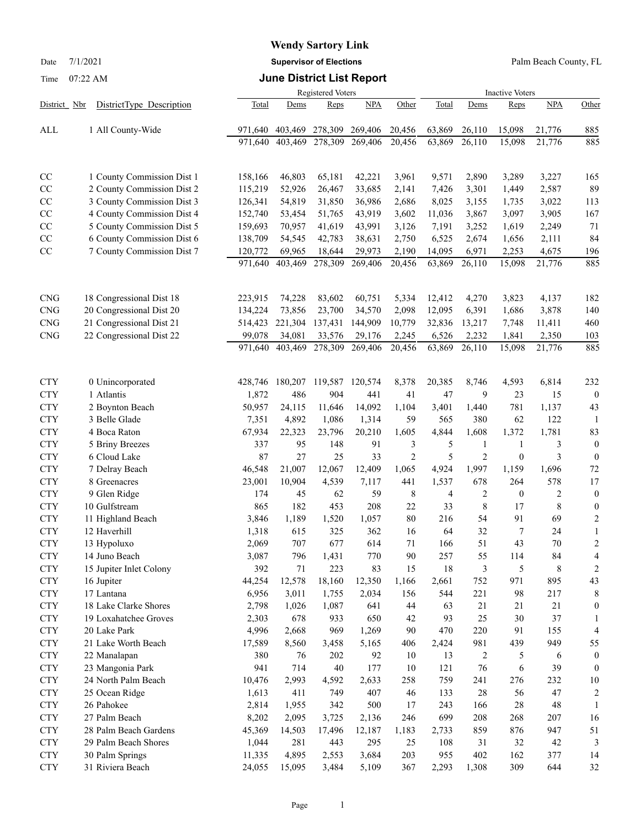Date 7/1/2021 **Supervisor of Elections** Palm Beach County, FL

## Time 07:22 AM **June District List Report**

|              |                            |         |         | <b>Registered Voters</b> |         | <b>Inactive Voters</b> |        |                |                  |            |                  |
|--------------|----------------------------|---------|---------|--------------------------|---------|------------------------|--------|----------------|------------------|------------|------------------|
| District Nbr | DistrictType Description   | Total   | Dems    | Reps                     | NPA     | Other                  | Total  | Dems           | Reps             | <b>NPA</b> | Other            |
| ALL          | 1 All County-Wide          | 971,640 | 403,469 | 278,309                  | 269,406 | 20,456                 | 63,869 | 26,110         | 15,098           | 21,776     | 885              |
|              |                            | 971,640 | 403,469 | 278,309                  | 269,406 | 20,456                 | 63,869 | 26,110         | 15,098           | 21,776     | 885              |
|              |                            |         |         |                          |         |                        |        |                |                  |            |                  |
|              |                            |         |         |                          |         |                        |        |                |                  |            |                  |
| CC           | 1 County Commission Dist 1 | 158,166 | 46,803  | 65,181                   | 42,221  | 3,961                  | 9,571  | 2,890          | 3,289            | 3,227      | 165              |
| CC           | 2 County Commission Dist 2 | 115,219 | 52,926  | 26,467                   | 33,685  | 2,141                  | 7,426  | 3,301          | 1,449            | 2,587      | 89               |
| CC           | 3 County Commission Dist 3 | 126,341 | 54,819  | 31,850                   | 36,986  | 2,686                  | 8,025  | 3,155          | 1,735            | 3,022      | 113              |
| CC           | 4 County Commission Dist 4 | 152,740 | 53,454  | 51,765                   | 43,919  | 3,602                  | 11,036 | 3,867          | 3,097            | 3,905      | 167              |
| CC           | 5 County Commission Dist 5 | 159,693 | 70,957  | 41,619                   | 43,991  | 3,126                  | 7,191  | 3,252          | 1,619            | 2,249      | 71               |
| CC           | 6 County Commission Dist 6 | 138,709 | 54,545  | 42,783                   | 38,631  | 2,750                  | 6,525  | 2,674          | 1,656            | 2,111      | 84               |
| CC           | 7 County Commission Dist 7 | 120,772 | 69,965  | 18,644                   | 29,973  | 2,190                  | 14,095 | 6,971          | 2,253            | 4,675      | 196              |
|              |                            | 971,640 | 403,469 | 278,309                  | 269,406 | 20,456                 | 63,869 | 26,110         | 15,098           | 21,776     | 885              |
|              |                            |         |         |                          |         |                        |        |                |                  |            |                  |
| <b>CNG</b>   | 18 Congressional Dist 18   | 223,915 | 74,228  | 83,602                   | 60,751  | 5,334                  | 12,412 | 4,270          | 3,823            | 4,137      | 182              |
| CNG          | 20 Congressional Dist 20   | 134,224 | 73,856  | 23,700                   | 34,570  | 2,098                  | 12,095 | 6,391          | 1,686            | 3,878      | 140              |
| <b>CNG</b>   | 21 Congressional Dist 21   | 514,423 | 221,304 | 137,431                  | 144,909 | 10,779                 | 32,836 | 13,217         | 7,748            | 11,411     | 460              |
| <b>CNG</b>   | 22 Congressional Dist 22   | 99,078  | 34,081  | 33,576                   | 29,176  | 2,245                  | 6,526  | 2,232          | 1,841            | 2,350      | 103              |
|              |                            | 971,640 | 403,469 | 278,309                  | 269,406 | 20,456                 | 63,869 | 26,110         | 15,098           | 21,776     | 885              |
|              |                            |         |         |                          |         |                        |        |                |                  |            |                  |
| <b>CTY</b>   | 0 Unincorporated           | 428,746 | 180,207 | 119,587                  | 120,574 | 8,378                  | 20,385 | 8,746          | 4,593            | 6,814      | 232              |
| <b>CTY</b>   | 1 Atlantis                 | 1,872   | 486     | 904                      | 441     | 41                     | 47     | 9              | 23               | 15         | $\bf{0}$         |
| <b>CTY</b>   | 2 Boynton Beach            | 50,957  | 24,115  | 11,646                   | 14,092  | 1,104                  | 3,401  | 1,440          | 781              | 1,137      | 43               |
| <b>CTY</b>   | 3 Belle Glade              | 7,351   | 4,892   | 1,086                    | 1,314   | 59                     | 565    | 380            | 62               | 122        | -1               |
| <b>CTY</b>   | 4 Boca Raton               | 67,934  | 22,323  | 23,796                   | 20,210  | 1,605                  | 4,844  | 1,608          | 1,372            | 1,781      | 83               |
| <b>CTY</b>   | 5 Briny Breezes            | 337     | 95      | 148                      | 91      | 3                      | 5      | $\mathbf{1}$   | $\mathbf{1}$     | 3          | $\boldsymbol{0}$ |
| <b>CTY</b>   | 6 Cloud Lake               | 87      | 27      | 25                       | 33      | $\overline{2}$         | 5      | $\overline{2}$ | $\boldsymbol{0}$ | 3          | $\mathbf{0}$     |
| <b>CTY</b>   | 7 Delray Beach             | 46,548  | 21,007  | 12,067                   | 12,409  | 1,065                  | 4,924  | 1,997          | 1,159            | 1,696      | $72\,$           |
| <b>CTY</b>   | 8 Greenacres               | 23,001  | 10,904  | 4,539                    | 7,117   | 441                    | 1,537  | 678            | 264              | 578        | 17               |
| <b>CTY</b>   | 9 Glen Ridge               | 174     | 45      | 62                       | 59      | 8                      | 4      | $\overline{c}$ | $\mathbf{0}$     | 2          | $\boldsymbol{0}$ |
| <b>CTY</b>   | 10 Gulfstream              | 865     | 182     | 453                      | 208     | 22                     | 33     | 8              | 17               | 8          | $\boldsymbol{0}$ |
| <b>CTY</b>   | 11 Highland Beach          | 3,846   | 1,189   | 1,520                    | 1,057   | 80                     | 216    | 54             | 91               | 69         | $\overline{c}$   |
| <b>CTY</b>   | 12 Haverhill               | 1,318   | 615     | 325                      | 362     | 16                     | 64     | 32             | 7                | 24         | 1                |
| <b>CTY</b>   | 13 Hypoluxo                | 2,069   | 707     | 677                      | 614     | 71                     | 166    | 51             | 43               | 70         | $\overline{c}$   |
| <b>CTY</b>   | 14 Juno Beach              | 3,087   | 796     | 1,431                    | 770     | 90                     | 257    | 55             | 114              | 84         | 4                |
| <b>CTY</b>   | 15 Jupiter Inlet Colony    | 392     | 71      | 223                      | 83      | 15                     | 18     | 3              | 5                | 8          | 2                |
| <b>CTY</b>   | 16 Jupiter                 | 44,254  | 12,578  | 18,160                   | 12,350  | 1,166                  | 2,661  | 752            | 971              | 895        | 43               |
| <b>CTY</b>   | 17 Lantana                 | 6,956   | 3,011   | 1,755                    | 2,034   | 156                    | 544    | 221            | 98               | 217        | 8                |
| <b>CTY</b>   | 18 Lake Clarke Shores      | 2,798   | 1,026   | 1,087                    | 641     | 44                     | 63     | 21             | 21               | 21         | $\boldsymbol{0}$ |
| <b>CTY</b>   | 19 Loxahatchee Groves      | 2,303   | 678     | 933                      | 650     | 42                     | 93     | 25             | 30               | 37         | 1                |
| <b>CTY</b>   | 20 Lake Park               | 4,996   | 2,668   | 969                      | 1,269   | 90                     | 470    | 220            | 91               | 155        | 4                |
| <b>CTY</b>   | 21 Lake Worth Beach        | 17,589  | 8,560   | 3,458                    | 5,165   | 406                    | 2,424  | 981            | 439              | 949        | 55               |
| <b>CTY</b>   | 22 Manalapan               | 380     | 76      | 202                      | 92      | 10                     | 13     | 2              | 5                | 6          | $\mathbf{0}$     |
| <b>CTY</b>   | 23 Mangonia Park           | 941     | 714     | 40                       | 177     | 10                     | 121    | 76             | 6                | 39         | $\mathbf{0}$     |
| <b>CTY</b>   | 24 North Palm Beach        | 10,476  | 2,993   | 4,592                    | 2,633   | 258                    | 759    | 241            | 276              | 232        | 10               |
| <b>CTY</b>   | 25 Ocean Ridge             | 1,613   | 411     | 749                      | 407     | 46                     | 133    | 28             | 56               | 47         | 2                |
| <b>CTY</b>   | 26 Pahokee                 | 2,814   | 1,955   | 342                      | 500     | 17                     | 243    | 166            | 28               | 48         | 1                |
| <b>CTY</b>   | 27 Palm Beach              | 8,202   | 2,095   | 3,725                    | 2,136   | 246                    | 699    | 208            | 268              | 207        | 16               |
| <b>CTY</b>   | 28 Palm Beach Gardens      | 45,369  | 14,503  | 17,496                   | 12,187  | 1,183                  | 2,733  | 859            | 876              | 947        | 51               |
| <b>CTY</b>   | 29 Palm Beach Shores       | 1,044   | 281     | 443                      | 295     | 25                     | 108    | 31             | 32               | 42         | 3                |
| <b>CTY</b>   | 30 Palm Springs            | 11,335  | 4,895   | 2,553                    | 3,684   | 203                    | 955    | 402            | 162              | 377        | 14               |
| <b>CTY</b>   | 31 Riviera Beach           | 24,055  | 15,095  | 3,484                    | 5,109   | 367                    | 2,293  | 1,308          | 309              | 644        | 32               |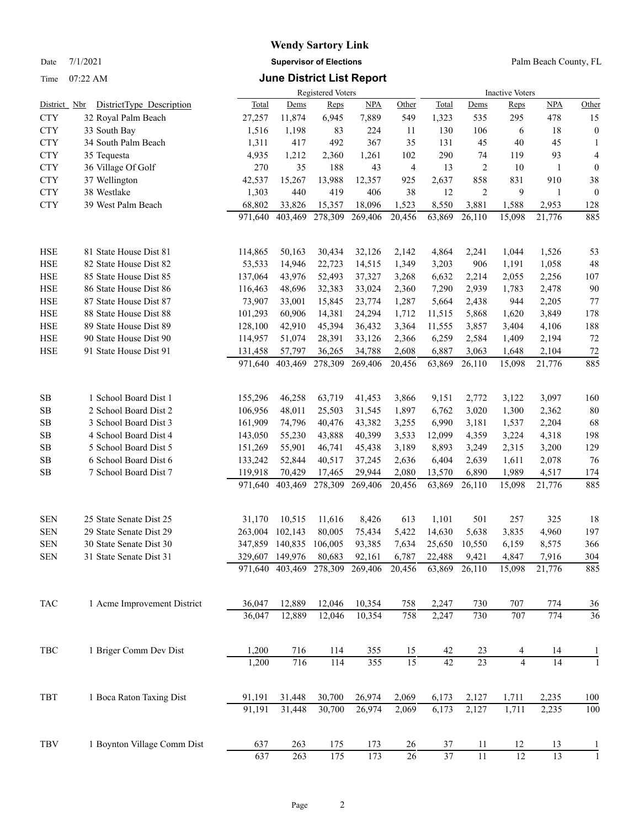Date 7/1/2021 **Supervisor of Elections** Palm Beach County, FL

## Time 07:22 AM **June District List Report**

|              |                             | Registered Voters |                 |         |                  |                 |        | <b>Inactive Voters</b> |                |                 |                  |  |  |
|--------------|-----------------------------|-------------------|-----------------|---------|------------------|-----------------|--------|------------------------|----------------|-----------------|------------------|--|--|
| District Nbr | DistrictType Description    | Total             | Dems            | Reps    | <b>NPA</b>       | Other           | Total  | Dems                   | Reps           | <b>NPA</b>      | Other            |  |  |
| <b>CTY</b>   | 32 Royal Palm Beach         | 27,257            | 11,874          | 6,945   | 7,889            | 549             | 1,323  | 535                    | 295            | 478             | 15               |  |  |
| <b>CTY</b>   | 33 South Bay                | 1,516             | 1,198           | 83      | 224              | 11              | 130    | 106                    | 6              | 18              | $\boldsymbol{0}$ |  |  |
| <b>CTY</b>   | 34 South Palm Beach         | 1,311             | 417             | 492     | 367              | 35              | 131    | 45                     | 40             | 45              | 1                |  |  |
| <b>CTY</b>   | 35 Tequesta                 | 4,935             | 1,212           | 2,360   | 1,261            | 102             | 290    | 74                     | 119            | 93              | 4                |  |  |
| <b>CTY</b>   | 36 Village Of Golf          | 270               | 35              | 188     | 43               | 4               | 13     | $\overline{c}$         | 10             | 1               | $\boldsymbol{0}$ |  |  |
| <b>CTY</b>   | 37 Wellington               | 42,537            | 15,267          | 13,988  | 12,357           | 925             | 2,637  | 858                    | 831            | 910             | 38               |  |  |
| <b>CTY</b>   | 38 Westlake                 | 1,303             | 440             | 419     | 406              | 38              | 12     | $\overline{c}$         | 9              | 1               | $\boldsymbol{0}$ |  |  |
| <b>CTY</b>   | 39 West Palm Beach          | 68,802            | 33,826          | 15,357  | 18,096           | 1,523           | 8,550  | 3,881                  | 1,588          | 2,953           | 128              |  |  |
|              |                             | 971,640           | 403,469         | 278,309 | 269,406          | 20,456          | 63,869 | 26,110                 | 15,098         | 21,776          | 885              |  |  |
| <b>HSE</b>   | 81 State House Dist 81      | 114,865           | 50,163          | 30,434  | 32,126           | 2,142           | 4,864  | 2,241                  | 1,044          | 1,526           | 53               |  |  |
| <b>HSE</b>   | 82 State House Dist 82      | 53,533            | 14,946          | 22,723  | 14,515           | 1,349           | 3,203  | 906                    | 1,191          | 1,058           | 48               |  |  |
| <b>HSE</b>   | 85 State House Dist 85      | 137,064           | 43,976          | 52,493  | 37,327           | 3,268           | 6,632  | 2,214                  | 2,055          | 2,256           | 107              |  |  |
| <b>HSE</b>   | 86 State House Dist 86      | 116,463           | 48,696          | 32,383  | 33,024           | 2,360           | 7,290  | 2,939                  | 1,783          | 2,478           | 90               |  |  |
| <b>HSE</b>   | 87 State House Dist 87      | 73,907            | 33,001          | 15,845  | 23,774           | 1,287           | 5,664  | 2,438                  | 944            | 2,205           | 77               |  |  |
| <b>HSE</b>   | 88 State House Dist 88      | 101,293           | 60,906          | 14,381  | 24,294           | 1,712           | 11,515 | 5,868                  | 1,620          | 3,849           | 178              |  |  |
| <b>HSE</b>   | 89 State House Dist 89      | 128,100           | 42,910          | 45,394  | 36,432           | 3,364           | 11,555 | 3,857                  | 3,404          | 4,106           | 188              |  |  |
| <b>HSE</b>   | 90 State House Dist 90      | 114,957           | 51,074          | 28,391  | 33,126           | 2,366           | 6,259  | 2,584                  | 1,409          | 2,194           | 72               |  |  |
| <b>HSE</b>   | 91 State House Dist 91      | 131,458           | 57,797          | 36,265  | 34,788           | 2,608           | 6,887  | 3,063                  | 1,648          | 2,104           | 72               |  |  |
|              |                             | 971,640           | 403,469         | 278,309 | 269,406          | 20,456          | 63,869 | 26,110                 | 15,098         | 21,776          | 885              |  |  |
| <b>SB</b>    | 1 School Board Dist 1       | 155,296           | 46,258          | 63,719  | 41,453           | 3,866           | 9,151  | 2,772                  | 3,122          | 3,097           | 160              |  |  |
| SB           | 2 School Board Dist 2       | 106,956           | 48,011          | 25,503  | 31,545           | 1,897           | 6,762  | 3,020                  | 1,300          | 2,362           | $80\,$           |  |  |
| SB           | 3 School Board Dist 3       | 161,909           | 74,796          | 40,476  | 43,382           | 3,255           | 6,990  | 3,181                  | 1,537          | 2,204           | 68               |  |  |
| <b>SB</b>    | 4 School Board Dist 4       | 143,050           | 55,230          | 43,888  | 40,399           | 3,533           | 12,099 | 4,359                  | 3,224          | 4,318           | 198              |  |  |
| SB           | 5 School Board Dist 5       | 151,269           | 55,901          | 46,741  | 45,438           | 3,189           | 8,893  | 3,249                  | 2,315          | 3,200           | 129              |  |  |
| SB           | 6 School Board Dist 6       | 133,242           | 52,844          | 40,517  | 37,245           | 2,636           | 6,404  | 2,639                  | 1,611          | 2,078           | 76               |  |  |
| <b>SB</b>    | 7 School Board Dist 7       | 119,918           | 70,429          | 17,465  | 29,944           | 2,080           | 13,570 | 6,890                  | 1,989          | 4,517           | 174              |  |  |
|              |                             | 971,640           | 403,469         | 278,309 | 269,406          | 20,456          | 63,869 | 26,110                 | 15,098         | 21,776          | 885              |  |  |
| <b>SEN</b>   | 25 State Senate Dist 25     | 31,170            | 10,515          | 11,616  | 8,426            | 613             | 1,101  | 501                    | 257            | 325             | 18               |  |  |
| <b>SEN</b>   | 29 State Senate Dist 29     | 263,004           | 102,143         | 80,005  | 75,434           | 5,422           | 14,630 | 5,638                  | 3,835          | 4,960           | 197              |  |  |
| <b>SEN</b>   | 30 State Senate Dist 30     | 347,859           | 140,835         | 106,005 | 93,385           | 7,634           | 25,650 | 10,550                 | 6,159          | 8,575           | 366              |  |  |
| <b>SEN</b>   | 31 State Senate Dist 31     |                   | 329,607 149,976 | 80,683  | 92,161           | 6,787           | 22,488 | 9,421                  | 4,847          | 7,916           | 304              |  |  |
|              |                             | 971,640           | 403,469         | 278,309 | 269,406          | 20,456          | 63,869 | 26,110                 | 15,098         | 21,776          | 885              |  |  |
| TAC          | 1 Acme Improvement District | 36,047            | 12,889          | 12,046  | 10,354           | 758             | 2,247  | 730                    | 707            | 774             | 36               |  |  |
|              |                             | 36,047            | 12,889          | 12,046  | 10,354           | 758             | 2,247  | 730                    | 707            | 774             | $\overline{36}$  |  |  |
| TBC          | 1 Briger Comm Dev Dist      | 1,200             | 716             | 114     | 355              | 15              | 42     | 23                     | 4              | 14              |                  |  |  |
|              |                             | 1,200             | 716             | 114     | $\overline{355}$ | $\overline{15}$ | 42     | $\overline{23}$        | $\overline{4}$ | $\overline{14}$ | 1                |  |  |
| TBT          | 1 Boca Raton Taxing Dist    | 91,191            | 31,448          | 30,700  | 26,974           | 2,069           | 6,173  | 2,127                  | 1,711          | 2,235           | 100              |  |  |
|              |                             | 91,191            | 31,448          | 30,700  | 26,974           | 2,069           | 6,173  | 2,127                  | 1,711          | 2,235           | 100              |  |  |
| TBV          | 1 Boynton Village Comm Dist | 637               | 263             | 175     | 173              | 26              | 37     | 11                     | 12             | 13              |                  |  |  |
|              |                             | 637               | 263             | 175     | 173              | 26              | 37     | $11\,$                 | 12             | 13              | 1                |  |  |
|              |                             |                   |                 |         |                  |                 |        |                        |                |                 |                  |  |  |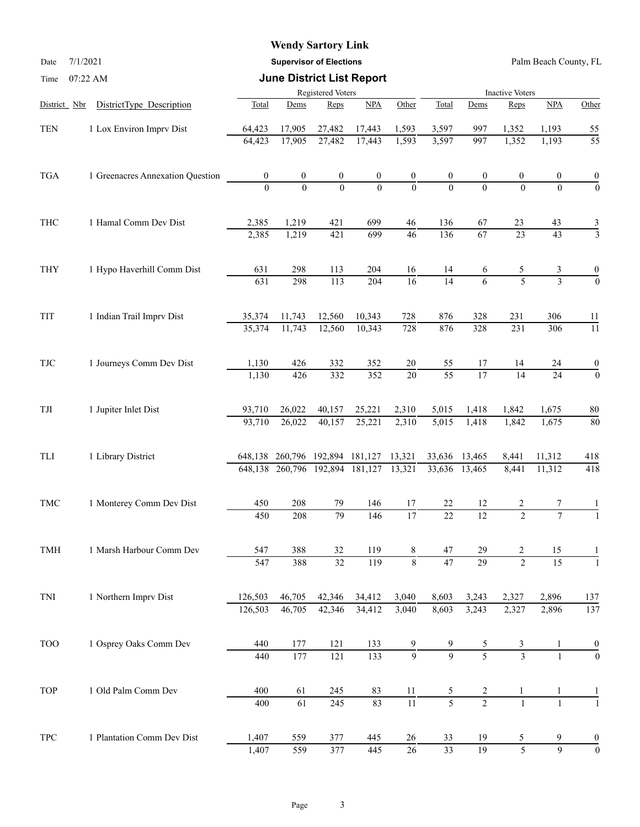Date 7/1/2021 **Supervisor of Elections** Palm Beach County, FL

| Time                 | 07:22 AM                         |                   | <b>June District List Report</b> |                  |                  |                  |                        |                  |                 |                 |                  |  |
|----------------------|----------------------------------|-------------------|----------------------------------|------------------|------------------|------------------|------------------------|------------------|-----------------|-----------------|------------------|--|
|                      |                                  | Registered Voters |                                  |                  |                  |                  | <b>Inactive Voters</b> |                  |                 |                 |                  |  |
| District Nbr         | DistrictType Description         | Total             | Dems                             | Reps             | NPA              | Other            | Total                  | Dems             | Reps            | NPA             | Other            |  |
| <b>TEN</b>           | 1 Lox Environ Imprv Dist         | 64,423            | 17,905                           | 27,482           | 17,443           | 1,593            | 3,597                  | 997              | 1,352           | 1,193           | 55               |  |
|                      |                                  | 64,423            | 17,905                           | 27,482           | 17,443           | 1,593            | 3,597                  | 997              | 1,352           | 1,193           | $\overline{55}$  |  |
| <b>TGA</b>           | 1 Greenacres Annexation Question | $\boldsymbol{0}$  | $\boldsymbol{0}$                 | $\boldsymbol{0}$ | $\boldsymbol{0}$ | $\boldsymbol{0}$ |                        | $\boldsymbol{0}$ | 0               | 0               | $\boldsymbol{0}$ |  |
|                      |                                  | $\Omega$          | $\theta$                         | $\theta$         | $\theta$         | $\overline{0}$   |                        | $\Omega$         | $\Omega$        | $\Omega$        | $\overline{0}$   |  |
| THC                  | 1 Hamal Comm Dev Dist            | 2,385             | 1,219                            | 421              | 699              | 46               | 136                    | 67               | 23              | 43              | $\frac{3}{3}$    |  |
|                      |                                  | 2,385             | 1,219                            | 421              | 699              | 46               | 136                    | $\overline{67}$  | $\overline{23}$ | $\overline{43}$ |                  |  |
| <b>THY</b>           | 1 Hypo Haverhill Comm Dist       | 631               | 298                              | 113              | 204              | 16               | 14                     | 6                | 5               | 3               |                  |  |
|                      |                                  | 631               | 298                              | 113              | 204              | $\overline{16}$  | $\overline{14}$        | 6                | $\overline{5}$  | $\overline{3}$  | $\overline{0}$   |  |
| TIT                  | 1 Indian Trail Imprv Dist        | 35,374            | 11,743                           | 12,560           | 10,343           | 728              | 876                    | 328              | 231             | 306             | 11               |  |
|                      |                                  | 35,374            | 11,743                           | 12,560           | 10,343           | 728              | 876                    | 328              | 231             | 306             | $\overline{11}$  |  |
| <b>TJC</b>           | 1 Journeys Comm Dev Dist         | 1,130             | 426                              | 332              | 352              | 20               | 55                     | 17               | 14              | 24              | $\boldsymbol{0}$ |  |
|                      |                                  | 1,130             | 426                              | 332              | 352              | $\overline{20}$  | $\overline{55}$        | $\overline{17}$  | 14              | $\overline{24}$ | $\mathbf{0}$     |  |
| $\operatorname{TJI}$ | 1 Jupiter Inlet Dist             | 93,710            | 26,022                           | 40,157           | 25,221           | 2,310            | 5,015                  | 1,418            | 1,842           | 1,675           | 80               |  |
|                      |                                  | 93,710            | 26,022                           | 40,157           | 25,221           | 2,310            | 5,015                  | 1,418            | 1,842           | 1,675           | 80               |  |
| TLI                  | 1 Library District               |                   | 648,138 260,796 192,894 181,127  |                  |                  | 13,321           | 33,636                 | 13,465           | 8,441           | 11,312          | 418              |  |
|                      |                                  |                   | 648,138 260,796 192,894          |                  | 181,127          | 13,321           | 33,636                 | 13,465           | 8,441           | 11,312          | 418              |  |
| <b>TMC</b>           | 1 Monterey Comm Dev Dist         | 450               | 208                              | 79               | 146              | 17               | 22                     | 12               |                 |                 |                  |  |
|                      |                                  | 450               | 208                              | 79               | 146              | $\overline{17}$  | $\overline{22}$        | $\overline{12}$  | $\mathcal{L}$   | $\overline{7}$  |                  |  |
| TMH                  | 1 Marsh Harbour Comm Dev         | 547               | 388                              | 32               | 119              | 8                | 47                     | 29               | 2               | 15              |                  |  |
|                      |                                  | 547               | 388                              | $\overline{32}$  | 119              | $\overline{8}$   | $\overline{47}$        | $\overline{29}$  | $\overline{2}$  | $\overline{15}$ |                  |  |
| TNI                  | 1 Northern Imprv Dist            | 126,503           | 46,705                           | 42,346           | 34,412           | 3,040            | 8,603                  | 3,243            | 2,327           | 2,896           | 137              |  |
|                      |                                  | 126,503           | 46,705                           | 42,346           | 34,412           | 3,040            | 8,603                  | 3,243            | 2,327           | 2,896           | 137              |  |
| <b>TOO</b>           | 1 Osprey Oaks Comm Dev           | 440               | 177                              | 121              | 133              | 9                |                        | 5                | 3               |                 |                  |  |
|                      |                                  | 440               | 177                              | 121              | 133              | $\overline{9}$   | $\overline{9}$         | $\overline{5}$   | $\overline{3}$  |                 | $\overline{0}$   |  |
| <b>TOP</b>           | 1 Old Palm Comm Dev              | 400               | 61                               | 245              | 83               | 11               | 5                      | 2                |                 | 1               |                  |  |
|                      |                                  | 400               | $\overline{61}$                  | 245              | 83               | $\overline{11}$  | $\overline{5}$         | $\overline{2}$   | $\mathbf{1}$    |                 |                  |  |
| <b>TPC</b>           | 1 Plantation Comm Dev Dist       | 1,407             | 559                              | 377              | 445              | 26               | 33                     | 19               | 5               | 9               | $\boldsymbol{0}$ |  |
|                      |                                  | 1,407             | 559                              | $\overline{377}$ | 445              | $\overline{26}$  | $\overline{33}$        | 19               | $\overline{5}$  | $\overline{9}$  | $\boldsymbol{0}$ |  |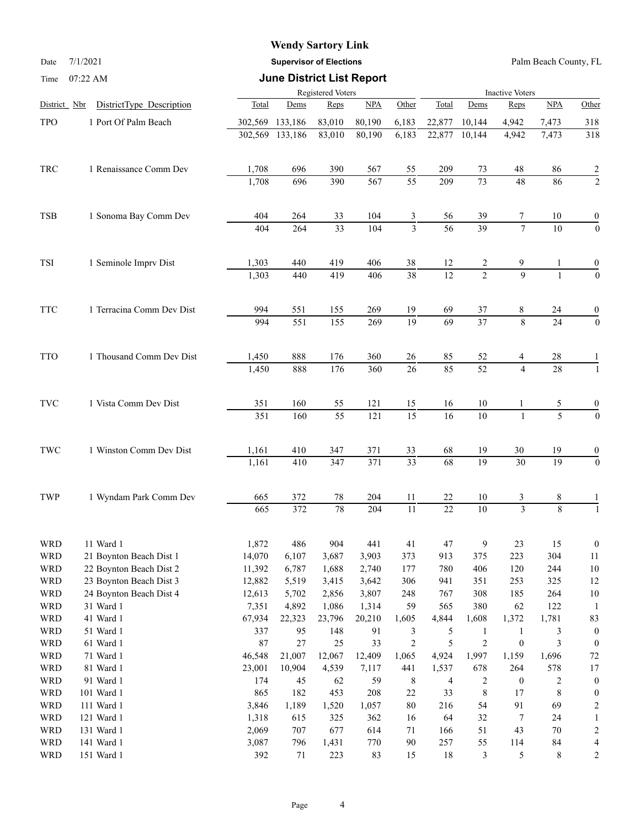Date 7/1/2021 **Supervisor of Elections** Palm Beach County, FL

| Time | $07:22$ AM |  |
|------|------------|--|
|      |            |  |

## **June District List Report**

|                          |                           |               | <b>Inactive Voters</b> |                       |                  |                       |                 |                                |                                  |                 |                                      |
|--------------------------|---------------------------|---------------|------------------------|-----------------------|------------------|-----------------------|-----------------|--------------------------------|----------------------------------|-----------------|--------------------------------------|
| District Nbr             | DistrictType Description  | Total         | Dems                   | Reps                  | <b>NPA</b>       | Other                 | Total           | Dems                           | Reps                             | <b>NPA</b>      | Other                                |
| TPO                      | 1 Port Of Palm Beach      | 302,569       | 133,186                | 83,010                | 80,190           | 6,183                 | 22,877          | 10,144                         | 4,942                            | 7,473           | 318                                  |
|                          |                           | 302,569       | 133,186                | 83,010                | 80,190           | 6,183                 | 22,877          | 10,144                         | 4,942                            | 7,473           | 318                                  |
| <b>TRC</b>               | 1 Renaissance Comm Dev    | 1,708         | 696                    | 390                   |                  |                       | 209             |                                |                                  |                 |                                      |
|                          |                           | 1,708         | 696                    | 390                   | 567<br>567       | 55<br>$\overline{55}$ | 209             | 73<br>$\overline{73}$          | 48<br>48                         | 86<br>86        | $\overline{2}$<br>$\overline{2}$     |
|                          |                           |               |                        |                       |                  |                       |                 |                                |                                  |                 |                                      |
| <b>TSB</b>               | 1 Sonoma Bay Comm Dev     | 404           | 264                    | 33<br>$\overline{33}$ | 104              | 3<br>$\overline{3}$   | 56<br>56        | 39<br>$\overline{39}$          | 7<br>$\overline{7}$              | 10              | $\boldsymbol{0}$                     |
|                          |                           | 404           | 264                    |                       | 104              |                       |                 |                                |                                  | 10              | $\boldsymbol{0}$                     |
| TSI                      | 1 Seminole Imprv Dist     | 1,303         | 440                    | 419                   | 406              | 38                    | 12              | 2                              | 9                                |                 | $\boldsymbol{0}$                     |
|                          |                           | 1,303         | 440                    | 419                   | 406              | $\overline{38}$       | $\overline{12}$ | $\overline{2}$                 | $\overline{9}$                   | $\mathbf{1}$    | $\boldsymbol{0}$                     |
| <b>TTC</b>               | 1 Terracina Comm Dev Dist | 994           | 551                    | 155                   | 269              | 19                    | 69              | 37                             | 8                                | 24              | 0                                    |
|                          |                           | 994           | 551                    | 155                   | 269              | $\overline{19}$       | $\overline{69}$ | $\overline{37}$                | 8                                | $\overline{24}$ | $\boldsymbol{0}$                     |
| <b>TTO</b>               | 1 Thousand Comm Dev Dist  | 1,450         | 888                    | 176                   | 360              | 26                    | 85              | 52                             | 4                                | 28              |                                      |
|                          |                           | 1,450         | 888                    | 176                   | 360              | 26                    | 85              | $\overline{52}$                | $\overline{4}$                   | $\overline{28}$ | $\mathbf{1}$                         |
| $\operatorname{TVC}$     | 1 Vista Comm Dev Dist     | 351           | 160                    | 55                    | 121              | 15                    | 16              | 10                             |                                  | 5               | $\boldsymbol{0}$                     |
|                          |                           | 351           | 160                    | $\overline{55}$       | 121              | $\overline{15}$       | $\overline{16}$ | $\overline{10}$                | $\mathbf{1}$                     | $\overline{5}$  | $\overline{0}$                       |
| $\operatorname{TWC}$     | 1 Winston Comm Dev Dist   | 1,161         | 410                    | 347                   | 371              | 33                    | 68              | 19                             | $30\,$                           | 19              | 0                                    |
|                          |                           | 1,161         | 410                    | 347                   | $\overline{371}$ | $\overline{33}$       | 68              | 19                             | $\overline{30}$                  | $\overline{19}$ | $\boldsymbol{0}$                     |
| TWP                      | 1 Wyndam Park Comm Dev    | 665           | 372                    | 78                    | 204              | 11                    | 22              | 10                             | 3                                | 8               |                                      |
|                          |                           | 665           | $\overline{372}$       | $\overline{78}$       | 204              | $\overline{11}$       | $\overline{22}$ | $\overline{10}$                | $\overline{3}$                   | 8               | $\mathbf{1}$                         |
| <b>WRD</b>               | 11 Ward 1                 | 1,872         | 486                    | 904                   | 441              | 41                    | 47              | 9                              | 23                               | 15              | $\boldsymbol{0}$                     |
| <b>WRD</b>               | 21 Boynton Beach Dist 1   | 14,070        | 6,107                  | 3,687                 | 3,903            | 373                   | 913             | 375                            | 223                              | 304             | 11                                   |
| <b>WRD</b>               | 22 Boynton Beach Dist 2   | 11,392        | 6,787                  | 1,688                 | 2,740            | 177                   | 780             | 406                            | 120                              | 244             | $10\,$                               |
| <b>WRD</b>               | 23 Boynton Beach Dist 3   | 12,882        | 5,519                  | 3,415                 | 3,642            | 306                   | 941             | 351                            | 253                              | 325             | 12                                   |
| <b>WRD</b>               | 24 Boynton Beach Dist 4   | 12,613        | 5,702                  | 2,856                 | 3,807            | 248                   | 767             | 308                            | 185                              | 264             | $10\,$                               |
| <b>WRD</b>               | 31 Ward 1                 | 7,351         | 4,892                  | 1,086                 | 1,314            | 59                    | 565             | 380                            | 62                               | 122             | -1                                   |
| <b>WRD</b>               | 41 Ward 1                 | 67,934        | 22,323                 | 23,796                | 20,210           | 1,605                 | 4,844           | 1,608                          | 1,372                            | 1,781           | 83                                   |
| <b>WRD</b><br><b>WRD</b> | 51 Ward 1<br>61 Ward 1    | 337<br>$87\,$ | 95<br>$27\,$           | 148<br>$25\,$         | 91<br>33         | 3<br>$\overline{c}$   | 5<br>5          | $\mathbf{1}$<br>$\overline{c}$ | $\mathbf{1}$<br>$\boldsymbol{0}$ | 3<br>3          | $\boldsymbol{0}$<br>$\boldsymbol{0}$ |
| <b>WRD</b>               | 71 Ward 1                 | 46,548        | 21,007                 | 12,067                | 12,409           | 1,065                 | 4,924           | 1,997                          | 1,159                            | 1,696           | 72                                   |
| <b>WRD</b>               | 81 Ward 1                 | 23,001        | 10,904                 | 4,539                 | 7,117            | 441                   | 1,537           | 678                            | 264                              | 578             | 17                                   |
| <b>WRD</b>               | 91 Ward 1                 | 174           | 45                     | 62                    | 59               | $\,8\,$               | 4               | 2                              | $\boldsymbol{0}$                 | $\overline{c}$  | $\boldsymbol{0}$                     |
| <b>WRD</b>               | 101 Ward 1                | 865           | 182                    | 453                   | 208              | $22\,$                | 33              | $\,$ $\,$                      | 17                               | $\,8\,$         | $\boldsymbol{0}$                     |
| <b>WRD</b>               | 111 Ward 1                | 3,846         | 1,189                  | 1,520                 | 1,057            | $80\,$                | 216             | 54                             | 91                               | 69              | $\overline{\mathbf{c}}$              |
| <b>WRD</b>               | 121 Ward 1                | 1,318         | 615                    | 325                   | 362              | 16                    | 64              | 32                             | 7                                | 24              | 1                                    |
| <b>WRD</b>               | 131 Ward 1                | 2,069         | 707                    | 677                   | 614              | 71                    | 166             | 51                             | 43                               | $70\,$          | $\overline{c}$                       |
| <b>WRD</b>               | 141 Ward 1                | 3,087         | 796                    | 1,431                 | 770              | $90\,$                | 257             | 55                             | 114                              | $\bf 84$        | 4                                    |
| <b>WRD</b>               | 151 Ward 1                | 392           | 71                     | 223                   | 83               | 15                    | $18\,$          | $\mathfrak{Z}$                 | $\sqrt{5}$                       | $\,8\,$         | $\overline{c}$                       |